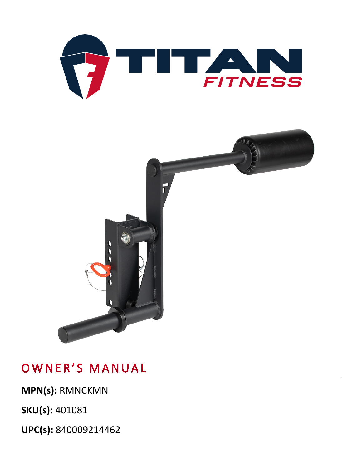**UPC(s):** 840009214462

**MPN(s):** RMNCKMN

**SKU(s):** 401081



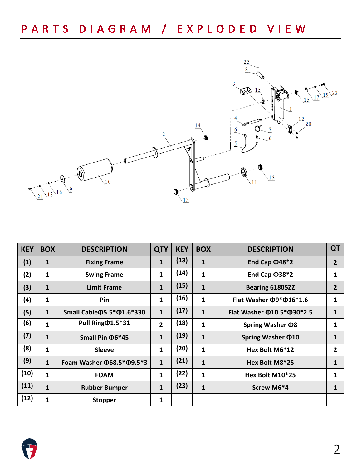

| <b>KEY</b> | <b>BOX</b>   | <b>DESCRIPTION</b>                     | <b>QTY</b>     | <b>KEY</b> | <b>BOX</b>   | <b>DESCRIPTION</b>                     | QT             |
|------------|--------------|----------------------------------------|----------------|------------|--------------|----------------------------------------|----------------|
| (1)        | 1            | <b>Fixing Frame</b>                    | $\mathbf{1}$   | (13)       | 1            | End Cap $\Phi$ 48*2                    | $\overline{2}$ |
| (2)        | 1            | <b>Swing Frame</b>                     | $\mathbf{1}$   | (14)       | 1            | End Cap $\Phi$ 38*2                    | 1              |
| (3)        | $\mathbf{1}$ | <b>Limit Frame</b>                     | $\mathbf{1}$   | (15)       | $\mathbf{1}$ | Bearing 61805ZZ                        | $\overline{2}$ |
| (4)        | 1            | <b>Pin</b>                             | $\mathbf{1}$   | (16)       | 1            | Flat Washer $\Phi$ 9* $\Phi$ 16*1.6    | 1              |
| (5)        | $\mathbf{1}$ | Small Cable $\Phi$ 5.5* $\Phi$ 1.6*330 | $\mathbf{1}$   | (17)       | $\mathbf{1}$ | Flat Washer $\Phi$ 10.5* $\Phi$ 30*2.5 | 1              |
| (6)        | 1            | Pull Ring $\Phi$ 1.5*31                | $\overline{2}$ | (18)       | 1            | Spring Washer $\Phi$ 8                 | 1              |
| (7)        | $\mathbf{1}$ | Small Pin $\Phi$ 6*45                  | $\mathbf{1}$   | (19)       | $\mathbf{1}$ | Spring Washer $\Phi$ 10                | 1              |
| (8)        | 1            | <b>Sleeve</b>                          | $\mathbf{1}$   | (20)       | 1            | Hex Bolt M6*12                         | $\mathbf{2}$   |
| (9)        | $\mathbf{1}$ | Foam Washer $\Phi$ 68.5* $\Phi$ 9.5*3  | $\mathbf{1}$   | (21)       | $\mathbf{1}$ | Hex Bolt M8*25                         | 1              |
| (10)       | $\mathbf{1}$ | <b>FOAM</b>                            | $\mathbf{1}$   | (22)       | 1            | Hex Bolt M10*25                        | 1              |
| (11)       | $\mathbf{1}$ | <b>Rubber Bumper</b>                   | $\mathbf{1}$   | (23)       | $\mathbf{1}$ | Screw M6*4                             | 1              |
| (12)       | $\mathbf{1}$ | <b>Stopper</b>                         | 1              |            |              |                                        |                |

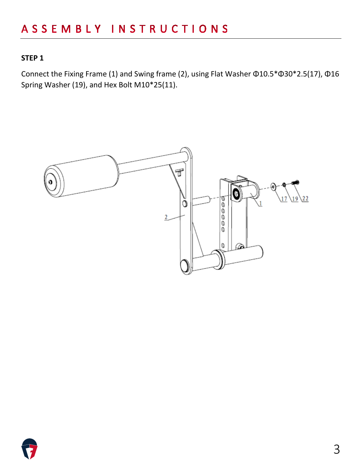### **STEP 1**

Connect the Fixing Frame (1) and Swing frame (2), using Flat Washer Φ10.5\*Φ30\*2.5(17), Φ16 Spring Washer (19), and Hex Bolt M10\*25(11).



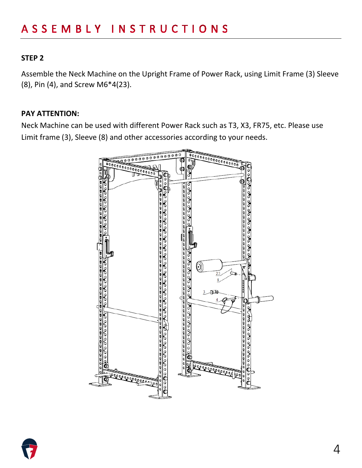#### **STEP 2**

Assemble the Neck Machine on the Upright Frame of Power Rack, using Limit Frame (3) Sleeve (8), Pin (4), and Screw M6\*4(23).

#### **PAY ATTENTION:**

Neck Machine can be used with different Power Rack such as T3, X3, FR75, etc. Please use Limit frame (3), Sleeve (8) and other accessories according to your needs.